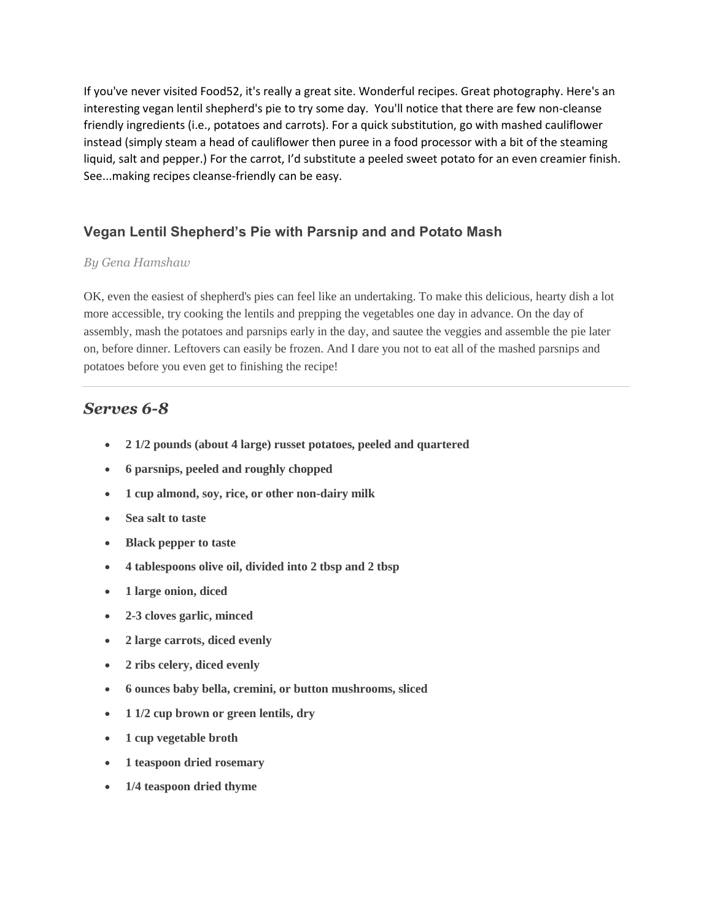If you've never visited Food52, it's really a great site. Wonderful recipes. Great photography. Here's an interesting vegan lentil shepherd's pie to try some day. You'll notice that there are few non-cleanse friendly ingredients (i.e., potatoes and carrots). For a quick substitution, go with mashed cauliflower instead (simply steam a head of cauliflower then puree in a food processor with a bit of the steaming liquid, salt and pepper.) For the carrot, I'd substitute a peeled sweet potato for an even creamier finish. See...making recipes cleanse-friendly can be easy.

## **Vegan Lentil Shepherd's Pie with Parsnip and and Potato Mash**

## *By Gena Hamshaw*

OK, even the easiest of shepherd's pies can feel like an undertaking. To make this delicious, hearty dish a lot more accessible, try cooking the lentils and prepping the vegetables one day in advance. On the day of assembly, mash the potatoes and parsnips early in the day, and sautee the veggies and assemble the pie later on, before dinner. Leftovers can easily be frozen. And I dare you not to eat all of the mashed parsnips and potatoes before you even get to finishing the recipe!

## *Serves 6-8*

- **2 1/2 pounds (about 4 large) russet potatoes, peeled and quartered**
- **6 parsnips, peeled and roughly chopped**
- **1 cup almond, soy, rice, or other non-dairy milk**
- **Sea salt to taste**
- **Black pepper to taste**
- **4 tablespoons olive oil, divided into 2 tbsp and 2 tbsp**
- **1 large onion, diced**
- **2-3 cloves garlic, minced**
- **2 large carrots, diced evenly**
- **2 ribs celery, diced evenly**
- **6 ounces baby bella, cremini, or button mushrooms, sliced**
- **1 1/2 cup brown or green lentils, dry**
- **1 cup vegetable broth**
- **1 teaspoon dried rosemary**
- **1/4 teaspoon dried thyme**